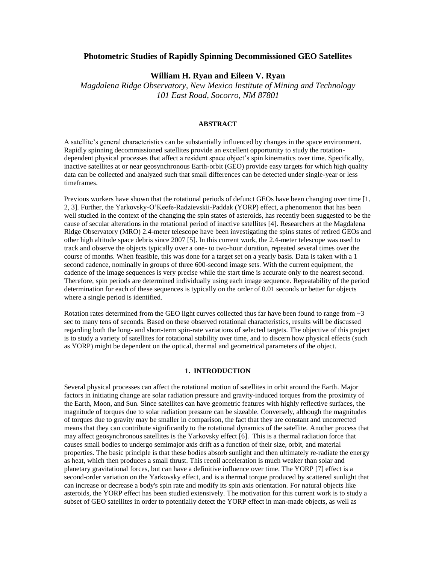### **Photometric Studies of Rapidly Spinning Decommissioned GEO Satellites**

# **William H. Ryan and Eileen V. Ryan**

*Magdalena Ridge Observatory, New Mexico Institute of Mining and Technology 101 East Road, Socorro, NM 87801*

### **ABSTRACT**

A satellite's general characteristics can be substantially influenced by changes in the space environment. Rapidly spinning decommissioned satellites provide an excellent opportunity to study the rotationdependent physical processes that affect a resident space object's spin kinematics over time. Specifically, inactive satellites at or near geosynchronous Earth-orbit (GEO) provide easy targets for which high quality data can be collected and analyzed such that small differences can be detected under single-year or less timeframes.

Previous workers have shown that the rotational periods of defunct GEOs have been changing over time [1, 2, 3]. Further, the Yarkovsky-O'Keefe-Radzievskii-Paddak (YORP) effect, a phenomenon that has been well studied in the context of the changing the spin states of asteroids, has recently been suggested to be the cause of secular alterations in the rotational period of inactive satellites [4]. Researchers at the Magdalena Ridge Observatory (MRO) 2.4-meter telescope have been investigating the spins states of retired GEOs and other high altitude space debris since 2007 [5]. In this current work, the 2.4-meter telescope was used to track and observe the objects typically over a one- to two-hour duration, repeated several times over the course of months. When feasible, this was done for a target set on a yearly basis. Data is taken with a 1 second cadence, nominally in groups of three 600-second image sets. With the current equipment, the cadence of the image sequences is very precise while the start time is accurate only to the nearest second. Therefore, spin periods are determined individually using each image sequence. Repeatability of the period determination for each of these sequences is typically on the order of 0.01 seconds or better for objects where a single period is identified.

Rotation rates determined from the GEO light curves collected thus far have been found to range from  $\sim$ 3 sec to many tens of seconds. Based on these observed rotational characteristics, results will be discussed regarding both the long- and short-term spin-rate variations of selected targets. The objective of this project is to study a variety of satellites for rotational stability over time, and to discern how physical effects (such as YORP) might be dependent on the optical, thermal and geometrical parameters of the object.

### **1. INTRODUCTION**

Several physical processes can affect the rotational motion of satellites in orbit around the Earth. Major factors in initiating change are solar radiation pressure and gravity-induced torques from the proximity of the Earth, Moon, and Sun. Since satellites can have geometric features with highly reflective surfaces, the magnitude of torques due to solar radiation pressure can be sizeable. Conversely, although the magnitudes of torques due to gravity may be smaller in comparison, the fact that they are constant and uncorrected means that they can contribute significantly to the rotational dynamics of the satellite. Another process that may affect geosynchronous satellites is the Yarkovsky effect [6]. This is a thermal radiation force that causes small bodies to undergo semimajor axis drift as a function of their size, orbit, and material properties. The basic principle is that these bodies absorb sunlight and then ultimately re-radiate the energy as heat, which then produces a small thrust. This recoil acceleration is much weaker than solar and planetary gravitational forces, but can have a definitive influence over time. The YORP [7] effect is a second-order variation on the Yarkovsky effect, and is a thermal torque produced by scattered sunlight that can increase or decrease a body's spin rate and modify its spin axis orientation. For natural objects like asteroids, the YORP effect has been studied extensively. The motivation for this current work is to study a subset of GEO satellites in order to potentially detect the YORP effect in man-made objects, as well as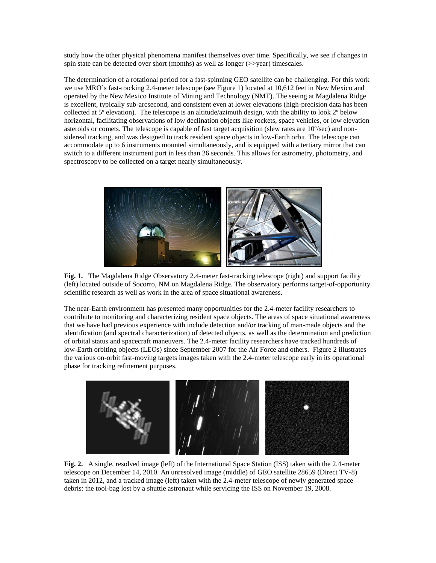study how the other physical phenomena manifest themselves over time. Specifically, we see if changes in spin state can be detected over short (months) as well as longer (>>year) timescales.

The determination of a rotational period for a fast-spinning GEO satellite can be challenging. For this work we use MRO's fast-tracking 2.4-meter telescope (see Figure 1) located at 10,612 feet in New Mexico and operated by the New Mexico Institute of Mining and Technology (NMT). The seeing at Magdalena Ridge is excellent, typically sub-arcsecond, and consistent even at lower elevations (high-precision data has been collected at 5º elevation). The telescope is an altitude/azimuth design, with the ability to look 2º below horizontal, facilitating observations of low declination objects like rockets, space vehicles, or low elevation asteroids or comets. The telescope is capable of fast target acquisition (slew rates are 10º/sec) and nonsidereal tracking, and was designed to track resident space objects in low-Earth orbit. The telescope can accommodate up to 6 instruments mounted simultaneously, and is equipped with a tertiary mirror that can switch to a different instrument port in less than 26 seconds. This allows for astrometry, photometry, and spectroscopy to be collected on a target nearly simultaneously.



**Fig. 1.** The Magdalena Ridge Observatory 2.4-meter fast-tracking telescope (right) and support facility (left) located outside of Socorro, NM on Magdalena Ridge. The observatory performs target-of-opportunity scientific research as well as work in the area of space situational awareness.

The near-Earth environment has presented many opportunities for the 2.4-meter facility researchers to contribute to monitoring and characterizing resident space objects. The areas of space situational awareness that we have had previous experience with include detection and/or tracking of man-made objects and the identification (and spectral characterization) of detected objects, as well as the determination and prediction of orbital status and spacecraft maneuvers. The 2.4-meter facility researchers have tracked hundreds of low-Earth orbiting objects (LEOs) since September 2007 for the Air Force and others. Figure 2 illustrates the various on-orbit fast-moving targets images taken with the 2.4-meter telescope early in its operational phase for tracking refinement purposes.



**Fig. 2.** A single, resolved image (left) of the International Space Station (ISS) taken with the 2.4-meter telescope on December 14, 2010. An unresolved image (middle) of GEO satellite 28659 (Direct TV-8) taken in 2012, and a tracked image (left) taken with the 2.4-meter telescope of newly generated space debris: the tool-bag lost by a shuttle astronaut while servicing the ISS on November 19, 2008.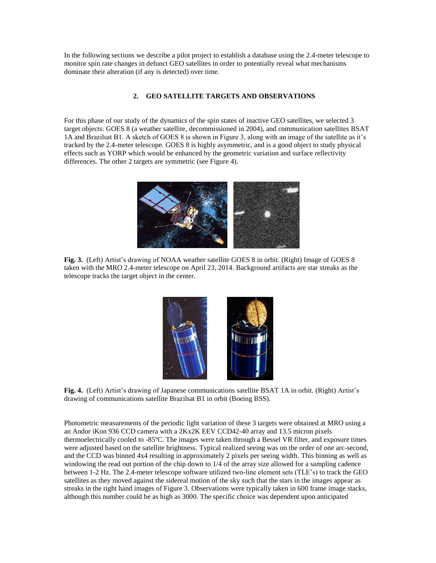In the following sections we describe a pilot project to establish a database using the 2.4-meter telescope to monitor spin rate changes in defunct GEO satellites in order to potentially reveal what mechanisms dominate their alteration (if any is detected) over time.

## **2. GEO SATELLITE TARGETS AND OBSERVATIONS**

For this phase of our study of the dynamics of the spin states of inactive GEO satellites, we selected 3 target objects: GOES 8 (a weather satellite, decommissioned in 2004), and communication satellites BSAT 1A and Brazilsat B1. A sketch of GOES 8 is shown in Figure 3, along with an image of the satellite as it's tracked by the 2.4-meter telescope. GOES 8 is highly asymmetric, and is a good object to study physical effects such as YORP which would be enhanced by the geometric variation and surface reflectivity differences. The other 2 targets are symmetric (see Figure 4).



**Fig. 3.** (Left) Artist's drawing of NOAA weather satellite GOES 8 in orbit. (Right) Image of GOES 8 taken with the MRO 2.4-meter telescope on April 23, 2014. Background artifacts are star streaks as the telescope tracks the target object in the center.



**Fig. 4.** (Left) Artist's drawing of Japanese communications satellite BSAT 1A in orbit. (Right) Artist's drawing of communications satellite Brazilsat B1 in orbit (Boeing BSS).

Photometric measurements of the periodic light variation of these 3 targets were obtained at MRO using a an Andor iKon 936 CCD camera with a 2Kx2K EEV CCD42-40 array and 13.5 micron pixels thermoelectrically cooled to  $-85^{\circ}$ C. The images were taken through a Bessel VR filter, and exposure times were adjusted based on the satellite brightness. Typical realized seeing was on the order of one arc-second, and the CCD was binned 4x4 resulting in approximately 2 pixels per seeing width. This binning as well as windowing the read out portion of the chip down to 1/4 of the array size allowed for a sampling cadence between 1-2 Hz. The 2.4-meter telescope software utilized two-line element sets (TLE's) to track the GEO satellites as they moved against the sidereal motion of the sky such that the stars in the images appear as streaks in the right hand images of Figure 3. Observations were typically taken in 600 frame image stacks, although this number could be as high as 3000. The specific choice was dependent upon anticipated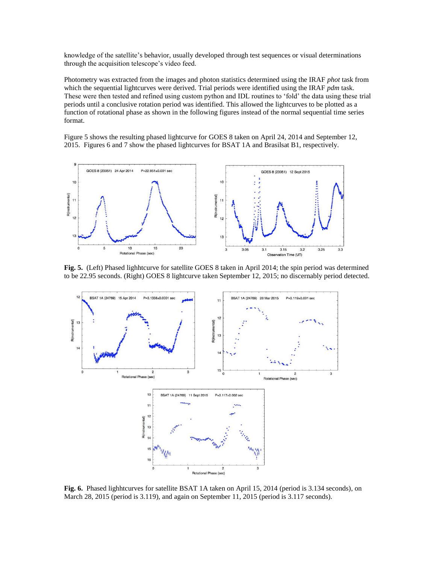knowledge of the satellite's behavior, usually developed through test sequences or visual determinations through the acquisition telescope's video feed.

Photometry was extracted from the images and photon statistics determined using the IRAF *phot* task from which the sequential lightcurves were derived. Trial periods were identified using the IRAF *pdm* task. These were then tested and refined using custom python and IDL routines to 'fold' the data using these trial periods until a conclusive rotation period was identified. This allowed the lightcurves to be plotted as a function of rotational phase as shown in the following figures instead of the normal sequential time series format.

Figure 5 shows the resulting phased lightcurve for GOES 8 taken on April 24, 2014 and September 12, 2015. Figures 6 and 7 show the phased lightcurves for BSAT 1A and Brasilsat B1, respectively.



**Fig. 5.** (Left) Phased lighhtcurve for satellite GOES 8 taken in April 2014; the spin period was determined to be 22.95 seconds. (Right) GOES 8 lightcurve taken September 12, 2015; no discernably period detected.



**Fig. 6.** Phased lighhtcurves for satellite BSAT 1A taken on April 15, 2014 (period is 3.134 seconds), on March 28, 2015 (period is 3.119), and again on September 11, 2015 (period is 3.117 seconds).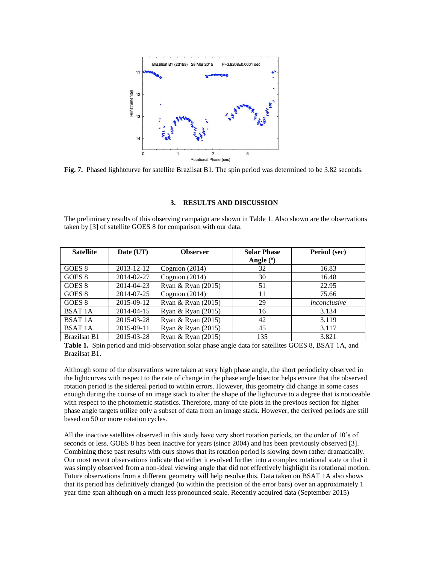

**Fig. 7.** Phased lighhtcurve for satellite Brazilsat B1. The spin period was determined to be 3.82 seconds.

#### **3. RESULTS AND DISCUSSION**

The preliminary results of this observing campaign are shown in Table 1. Also shown are the observations taken by [3] of satellite GOES 8 for comparison with our data.

| <b>Satellite</b>    | Date (UT)  | <b>Observer</b>      | <b>Solar Phase</b> | Period (sec) |
|---------------------|------------|----------------------|--------------------|--------------|
|                     |            |                      | Angle $(°)$        |              |
| GOES 8              | 2013-12-12 | Cognion $(2014)$     | 32                 | 16.83        |
| GOES <sub>8</sub>   | 2014-02-27 | Cognion $(2014)$     | 30                 | 16.48        |
| GOES 8              | 2014-04-23 | Ryan & Ryan $(2015)$ | 51                 | 22.95        |
| GOES 8              | 2014-07-25 | Cognion $(2014)$     | 11                 | 75.66        |
| GOES 8              | 2015-09-12 | Ryan & Ryan $(2015)$ | 29                 | inconclusive |
| <b>BSAT 1A</b>      | 2014-04-15 | Ryan & Ryan (2015)   | 16                 | 3.134        |
| <b>BSAT 1A</b>      | 2015-03-28 | Ryan & Ryan (2015)   | 42                 | 3.119        |
| <b>BSAT 1A</b>      | 2015-09-11 | Ryan & Ryan $(2015)$ | 45                 | 3.117        |
| <b>Brazilsat B1</b> | 2015-03-28 | Ryan & Ryan $(2015)$ | 135                | 3.821        |

**Table 1.** Spin period and mid-observation solar phase angle data for satellites GOES 8, BSAT 1A, and Brazilsat B1.

Although some of the observations were taken at very high phase angle, the short periodicity observed in the lightcurves with respect to the rate of change in the phase angle bisector helps ensure that the observed rotation period is the sidereal period to within errors. However, this geometry did change in some cases enough during the course of an image stack to alter the shape of the lightcurve to a degree that is noticeable with respect to the photometric statistics. Therefore, many of the plots in the previous section for higher phase angle targets utilize only a subset of data from an image stack. However, the derived periods are still based on 50 or more rotation cycles.

All the inactive satellites observed in this study have very short rotation periods, on the order of 10's of seconds or less. GOES 8 has been inactive for years (since 2004) and has been previously observed [3]. Combining these past results with ours shows that its rotation period is slowing down rather dramatically. Our most recent observations indicate that either it evolved further into a complex rotational state or that it was simply observed from a non-ideal viewing angle that did not effectively highlight its rotational motion. Future observations from a different geometry will help resolve this. Data taken on BSAT 1A also shows that its period has definitively changed (to within the precision of the error bars) over an approximately 1 year time span although on a much less pronounced scale. Recently acquired data (September 2015)